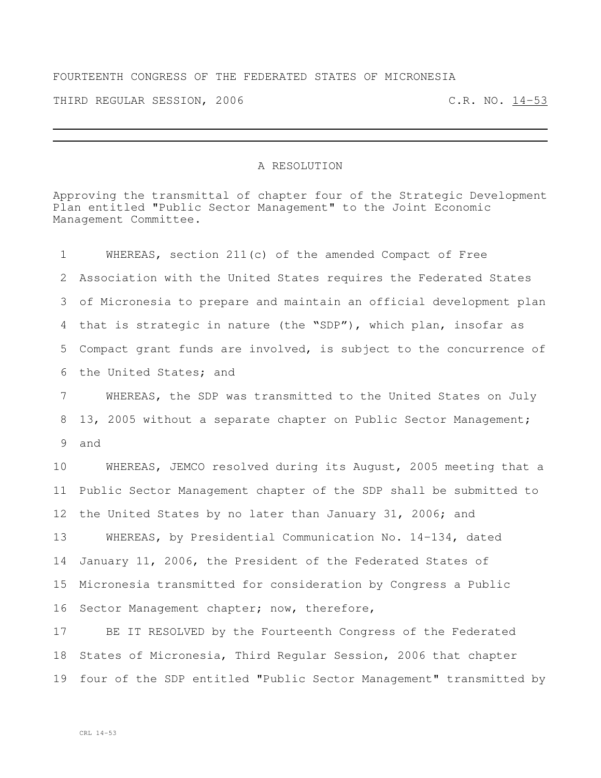## FOURTEENTH CONGRESS OF THE FEDERATED STATES OF MICRONESIA

THIRD REGULAR SESSION, 2006 C.R. NO. 14-53

## A RESOLUTION

Approving the transmittal of chapter four of the Strategic Development Plan entitled "Public Sector Management" to the Joint Economic Management Committee.

| $\mathbf 1$     | WHEREAS, section 211(c) of the amended Compact of Free             |
|-----------------|--------------------------------------------------------------------|
| 2               | Association with the United States requires the Federated States   |
| 3               | of Micronesia to prepare and maintain an official development plan |
| 4               | that is strategic in nature (the "SDP"), which plan, insofar as    |
| 5               | Compact grant funds are involved, is subject to the concurrence of |
| 6               | the United States; and                                             |
| $7\phantom{.}$  | WHEREAS, the SDP was transmitted to the United States on July      |
| 8               | 13, 2005 without a separate chapter on Public Sector Management;   |
| 9               | and                                                                |
| 10              | WHEREAS, JEMCO resolved during its August, 2005 meeting that a     |
| 11              | Public Sector Management chapter of the SDP shall be submitted to  |
| 12 <sup>°</sup> | the United States by no later than January 31, 2006; and           |
| 13              | WHEREAS, by Presidential Communication No. 14-134, dated           |
| 14              | January 11, 2006, the President of the Federated States of         |
| 15              | Micronesia transmitted for consideration by Congress a Public      |
| 16              | Sector Management chapter; now, therefore,                         |
| 17              | BE IT RESOLVED by the Fourteenth Congress of the Federated         |
| 18              | States of Micronesia, Third Regular Session, 2006 that chapter     |
| 19              | four of the SDP entitled "Public Sector Management" transmitted by |